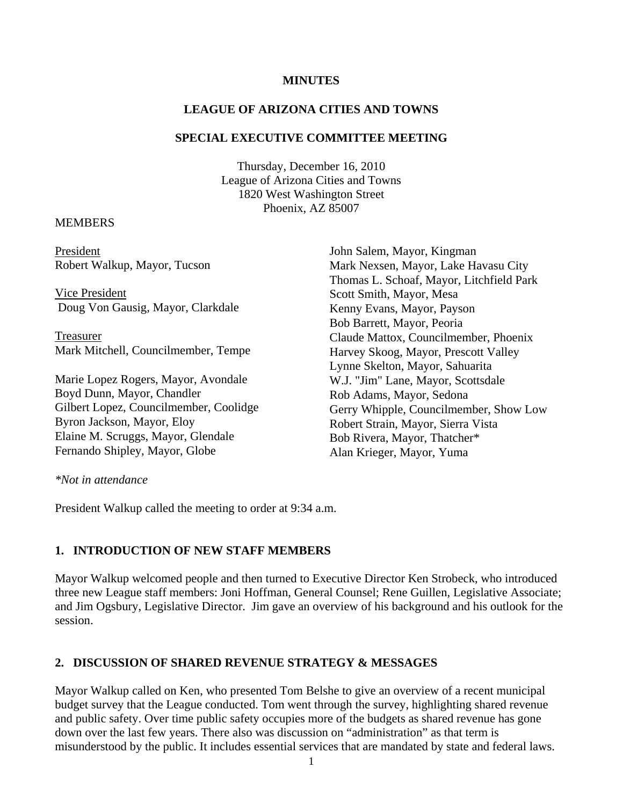# **MINUTES**

# **LEAGUE OF ARIZONA CITIES AND TOWNS**

### **SPECIAL EXECUTIVE COMMITTEE MEETING**

Thursday, December 16, 2010 League of Arizona Cities and Towns 1820 West Washington Street Phoenix, AZ 85007

### MEMBERS

President Robert Walkup, Mayor, Tucson

 Vice President Doug Von Gausig, Mayor, Clarkdale

Treasurer Mark Mitchell, Councilmember, Tempe

Marie Lopez Rogers, Mayor, Avondale Boyd Dunn, Mayor, Chandler Gilbert Lopez, Councilmember, Coolidge Byron Jackson, Mayor, Eloy Elaine M. Scruggs, Mayor, Glendale Fernando Shipley, Mayor, Globe

John Salem, Mayor, Kingman Mark Nexsen, Mayor, Lake Havasu City Thomas L. Schoaf, Mayor, Litchfield Park Scott Smith, Mayor, Mesa Kenny Evans, Mayor, Payson Bob Barrett, Mayor, Peoria Claude Mattox, Councilmember, Phoenix Harvey Skoog, Mayor, Prescott Valley Lynne Skelton, Mayor, Sahuarita W.J. "Jim" Lane, Mayor, Scottsdale Rob Adams, Mayor, Sedona Gerry Whipple, Councilmember, Show Low Robert Strain, Mayor, Sierra Vista Bob Rivera, Mayor, Thatcher\* Alan Krieger, Mayor, Yuma

*\*Not in attendance* 

President Walkup called the meeting to order at 9:34 a.m.

# **1. INTRODUCTION OF NEW STAFF MEMBERS**

Mayor Walkup welcomed people and then turned to Executive Director Ken Strobeck, who introduced three new League staff members: Joni Hoffman, General Counsel; Rene Guillen, Legislative Associate; and Jim Ogsbury, Legislative Director. Jim gave an overview of his background and his outlook for the session.

# **2. DISCUSSION OF SHARED REVENUE STRATEGY & MESSAGES**

Mayor Walkup called on Ken, who presented Tom Belshe to give an overview of a recent municipal budget survey that the League conducted. Tom went through the survey, highlighting shared revenue and public safety. Over time public safety occupies more of the budgets as shared revenue has gone down over the last few years. There also was discussion on "administration" as that term is misunderstood by the public. It includes essential services that are mandated by state and federal laws.